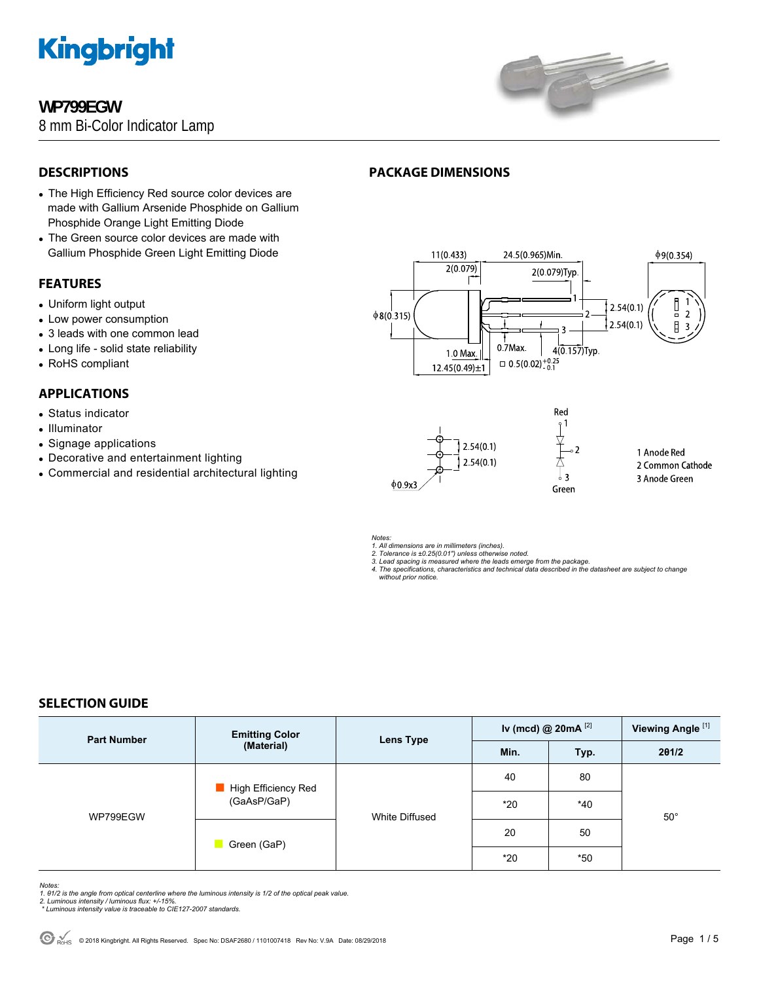

# **WP799EGW**

8 mm Bi-Color Indicator Lamp



# **DESCRIPTIONS**

- The High Efficiency Red source color devices are made with Gallium Arsenide Phosphide on Gallium Phosphide Orange Light Emitting Diode
- The Green source color devices are made with Gallium Phosphide Green Light Emitting Diode

# **FEATURES**

- Uniform light output
- Low power consumption
- 3 leads with one common lead
- Long life solid state reliability
- RoHS compliant

# **APPLICATIONS**

- Status indicator
- Illuminator
- Signage applications
- Decorative and entertainment lighting
- Commercial and residential architectural lighting

# **PACKAGE DIMENSIONS**





1 Anode Red 2 Common Cathode 3 Anode Green

*Notes:* 

*1. All dimensions are in millimeters (inches). 2. Tolerance is ±0.25(0.01") unless otherwise noted.* 

*3. Lead spacing is measured where the leads emerge from the package. 4. The specifications, characteristics and technical data described in the datasheet are subject to change without prior notice.*

# **SELECTION GUIDE**

| <b>Part Number</b> | <b>Emitting Color</b><br>(Material) | <b>Lens Type</b> | Iv (mcd) @ $20mA$ <sup>[2]</sup> |       | Viewing Angle <sup>[1]</sup> |
|--------------------|-------------------------------------|------------------|----------------------------------|-------|------------------------------|
|                    |                                     |                  | Min.                             | Typ.  | 201/2                        |
| WP799EGW           | High Efficiency Red<br>(GaAsP/GaP)  | White Diffused   | 40                               | 80    | $50^{\circ}$                 |
|                    |                                     |                  | $*20$                            | $*40$ |                              |
|                    | Green (GaP)                         |                  | 20                               | 50    |                              |
|                    |                                     |                  | $*20$                            | $*50$ |                              |

*Notes:* 

*1. θ1/2 is the angle from optical centerline where the luminous intensity is 1/2 of the optical peak value. 2. Luminous intensity / luminous flux: +/-15%.* 

 *\* Luminous intensity value is traceable to CIE127-2007 standards.*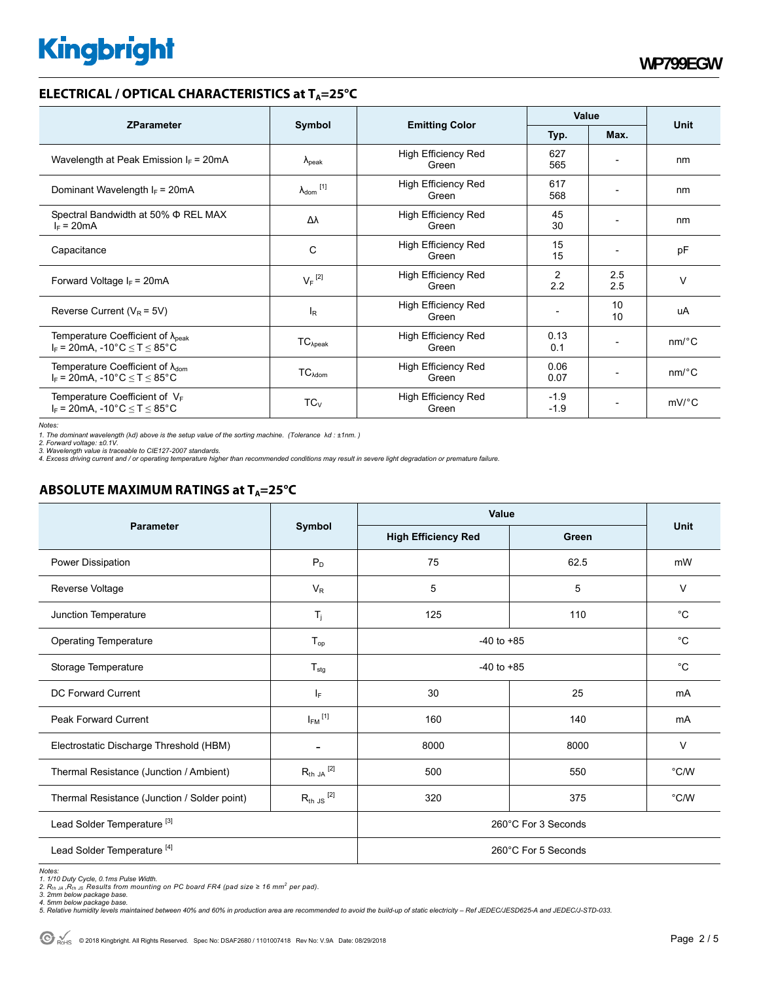# **ELECTRICAL / OPTICAL CHARACTERISTICS at T<sub>A</sub>=25°C**

| <b>ZParameter</b>                                                                             | Symbol                     |                                     | Value            |                          |                       |
|-----------------------------------------------------------------------------------------------|----------------------------|-------------------------------------|------------------|--------------------------|-----------------------|
|                                                                                               |                            | <b>Emitting Color</b>               | Typ.             | Max.                     | Unit                  |
| Wavelength at Peak Emission $I_F$ = 20mA                                                      | $\Lambda_{\rm peak}$       | <b>High Efficiency Red</b><br>Green | 627<br>565       |                          | nm                    |
| Dominant Wavelength $I_F = 20 \text{mA}$                                                      | $\lambda_{\text{dom}}$ [1] | <b>High Efficiency Red</b><br>Green | 617<br>568       | $\overline{\phantom{0}}$ | nm                    |
| Spectral Bandwidth at 50% $\Phi$ REL MAX<br>$I_F = 20mA$                                      | Δλ                         | <b>High Efficiency Red</b><br>Green | 45<br>30         | $\overline{\phantom{0}}$ | nm                    |
| Capacitance                                                                                   | C                          | High Efficiency Red<br>Green        | 15<br>15         |                          | pF                    |
| Forward Voltage $I_F$ = 20mA                                                                  | $V_F$ <sup>[2]</sup>       | <b>High Efficiency Red</b><br>Green | 2<br>2.2         | 2.5<br>2.5               | $\vee$                |
| Reverse Current ( $V_R$ = 5V)                                                                 | l <sub>R</sub>             | <b>High Efficiency Red</b><br>Green |                  | 10<br>10                 | uA                    |
| Temperature Coefficient of $\lambda_{\text{peak}}$<br>$I_F$ = 20mA, -10°C $\leq T \leq 85$ °C | $TC_{\lambda peak}$        | High Efficiency Red<br>Green        | 0.13<br>0.1      | $\overline{\phantom{0}}$ | $nm$ <sup>o</sup> $C$ |
| Temperature Coefficient of $\lambda_{\text{dom}}$<br>$I_F$ = 20mA, -10°C $\leq T \leq 85$ °C  | $TC_{\lambda dom}$         | High Efficiency Red<br>Green        | 0.06<br>0.07     |                          | $nm$ <sup>o</sup> $C$ |
| Temperature Coefficient of $V_F$<br>$I_F$ = 20mA, -10°C $\leq T \leq 85$ °C                   | $TC_V$                     | <b>High Efficiency Red</b><br>Green | $-1.9$<br>$-1.9$ | $\overline{\phantom{a}}$ | $mV$ °C               |

*Notes:* 

1. The dominant wavelength (λd) above is the setup value of the sorting machine. (Tolerance λd : ±1nm. )<br>2. Forward voltage: ±0.1V.<br>3. Wavelength value is traceable to CIE127-2007 standards.<br>4. Excess driving current and

### **ABSOLUTE MAXIMUM RATINGS at T<sub>A</sub>=25°C**

|                                              | Symbol                  | <b>Value</b>               |       |               |
|----------------------------------------------|-------------------------|----------------------------|-------|---------------|
| Parameter                                    |                         | <b>High Efficiency Red</b> | Green | Unit          |
| Power Dissipation                            | $P_D$                   | 75                         | 62.5  | mW            |
| Reverse Voltage                              | $V_R$                   | 5                          | 5     | V             |
| Junction Temperature                         | $T_{j}$                 | 125                        | 110   | $^{\circ}C$   |
| <b>Operating Temperature</b>                 | $T_{op}$                | $-40$ to $+85$             |       | $^{\circ}C$   |
| Storage Temperature                          | $T_{\text{stg}}$        | $-40$ to $+85$             |       | $^{\circ}C$   |
| <b>DC Forward Current</b>                    | $ _{\mathsf{F}}$        | 30                         | 25    | mA            |
| <b>Peak Forward Current</b>                  | $I_{FM}$ <sup>[1]</sup> | 160                        | 140   | mA            |
| Electrostatic Discharge Threshold (HBM)      |                         | 8000                       | 8000  | $\vee$        |
| Thermal Resistance (Junction / Ambient)      | $R_{th}$ ja $^{[2]}$    | 500                        | 550   | $\degree$ C/W |
| Thermal Resistance (Junction / Solder point) | $R_{th}$ JS $^{[2]}$    | 320                        | 375   | $\degree$ C/W |
| Lead Solder Temperature <sup>[3]</sup>       |                         | 260°C For 3 Seconds        |       |               |
| Lead Solder Temperature <sup>[4]</sup>       |                         | 260°C For 5 Seconds        |       |               |

*Notes:* 

1. 1/10 Duty Cycle, 0.1ms Pulse Width.<br>2. R<sub>th av</sub> R<sub>th as</sub> Results from mounting on PC board FR4 (pad size ≥ 16 mm<sup>2</sup> per pad).<br>3. 2mm below package base.<br>5. Relative humidity levels maintained between 40% and 60% in pro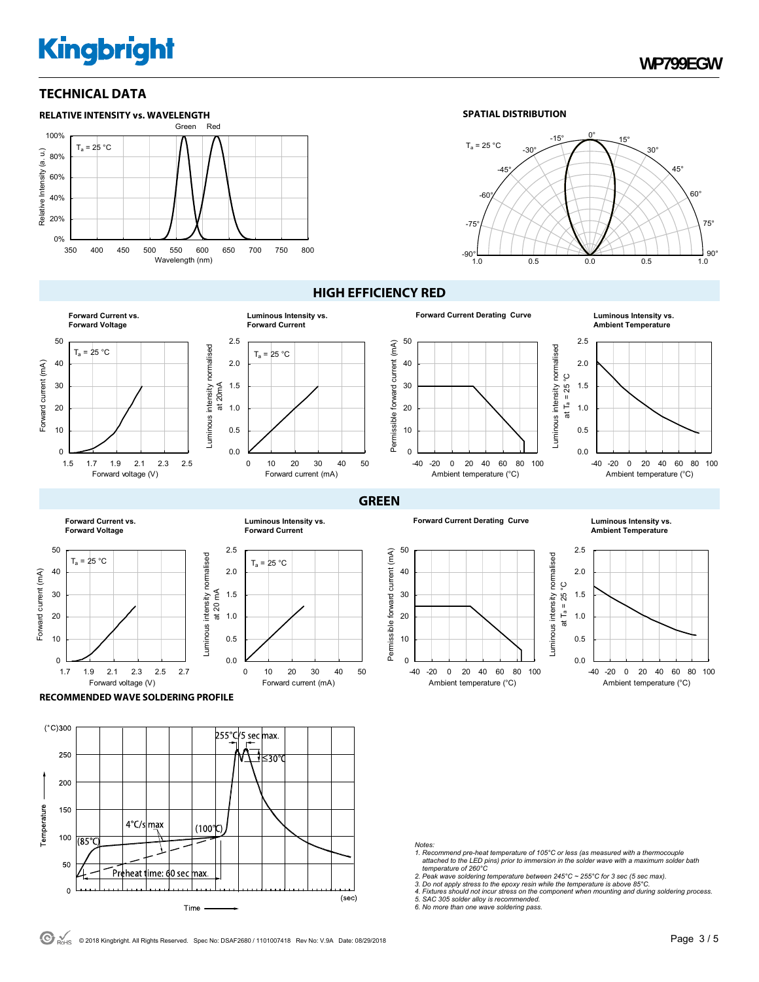# **TECHNICAL DATA**



#### **SPATIAL DISTRIBUTION**



#### **HIGH EFFICIENCY RED**

 $\overline{0}$ 

**GREEN**





50 forward current (mA) Permissible forward current (mA) 40 30 20 Permissible 10

**Forward Current Derating Curve** 

**Luminous Intensity vs.**<br>Ambient Temperature



**Forward Current vs. Forward Voltage**







**Forward Current Derating Curve Luminous Intensity vs.** 

-40 -20 0 20 40 60 80 100 Ambient temperature (°C)



**Ambient Temperature**



**RECOMMENDED WAVE SOLDERING PROFILE** 



*Notes:* 

- *1. Recommend pre-heat temperature of 105°C or less (as measured with a thermocouple attached to the LED pins) prior to immersion in the solder wave with a maximum solder bath temperature of 260°C*
- 
- *2. Peak wave soldering temperature between 245°C ~ 255°C for 3 sec (5 sec max). 3. Do not apply stress to the epoxy resin while the temperature is above 85°C.*
- *4. Fixtures should not incur stress on the component when mounting and during soldering process. 5. SAC 305 solder alloy is recommended.*
- *6. No more than one wave soldering pass.*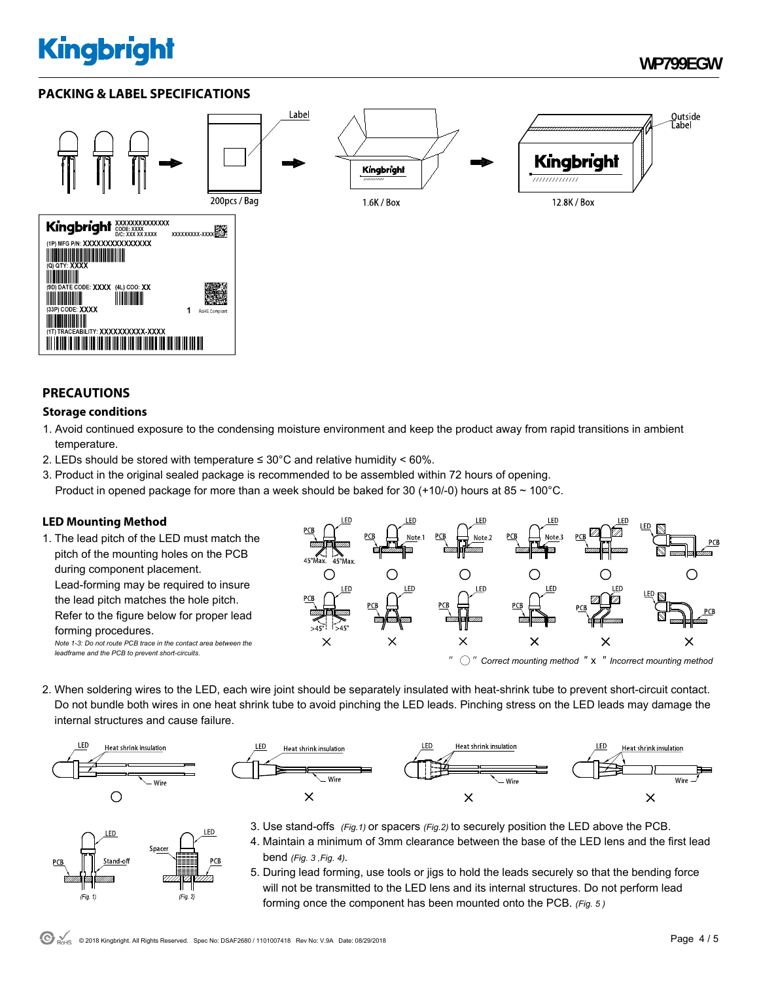# **PACKING & LABEL SPECIFICATIONS**



### **PRECAUTIONS**

### **Storage conditions**

- 1. Avoid continued exposure to the condensing moisture environment and keep the product away from rapid transitions in ambient temperature.
- 2. LEDs should be stored with temperature  $\leq 30^{\circ}$ C and relative humidity < 60%.
- 3. Product in the original sealed package is recommended to be assembled within 72 hours of opening. Product in opened package for more than a week should be baked for 30 (+10/-0) hours at 85  $\sim$  100 $^{\circ}$ C.

# **LED Mounting Method**

1. The lead pitch of the LED must match the pitch of the mounting holes on the PCB during component placement. Lead-forming may be required to insure the lead pitch matches the hole pitch. Refer to the figure below for proper lead forming procedures. *Note 1-3: Do not route PCB trace in the contact area between the leadframe and the PCB to prevent short-circuits.* 



2. When soldering wires to the LED, each wire joint should be separately insulated with heat-shrink tube to prevent short-circuit contact. Do not bundle both wires in one heat shrink tube to avoid pinching the LED leads. Pinching stress on the LED leads may damage the internal structures and cause failure.





- LED LED Spacer  $(Fig. 2)$  $(Fig. 1)$
- 3. Use stand-offs *(Fig.1)* or spacers *(Fig.2)* to securely position the LED above the PCB.
- 4. Maintain a minimum of 3mm clearance between the base of the LED lens and the first lead bend *(Fig. 3 ,Fig. 4).*
- 5. During lead forming, use tools or jigs to hold the leads securely so that the bending force will not be transmitted to the LED lens and its internal structures. Do not perform lead forming once the component has been mounted onto the PCB. *(Fig. 5 )*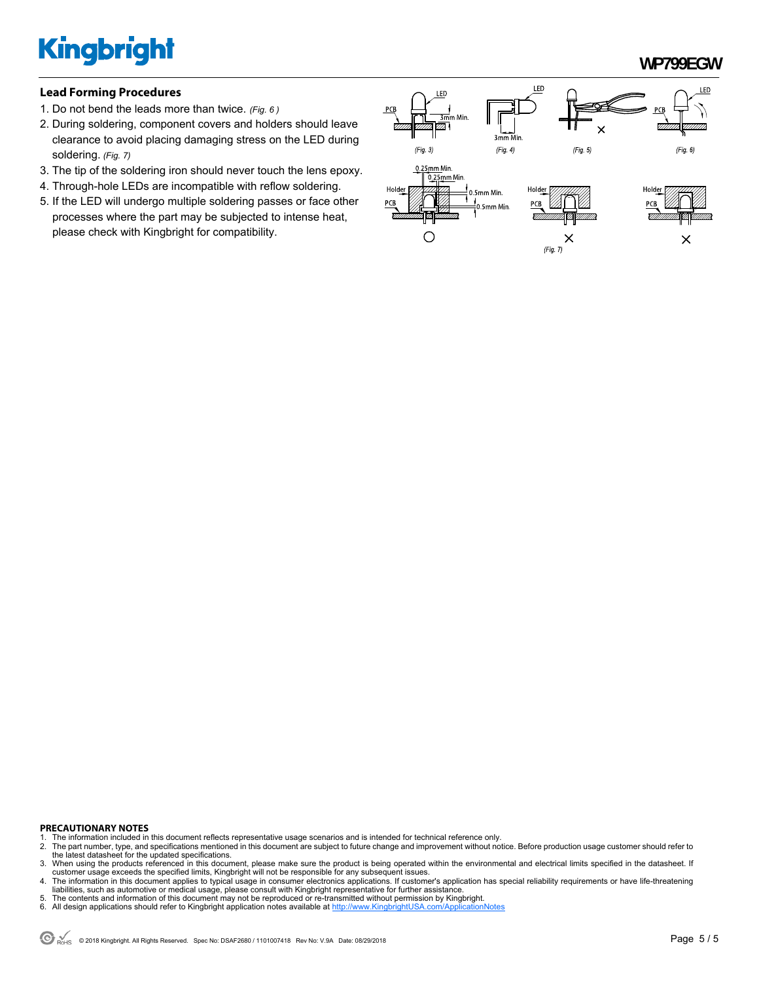**WP799EGW** 

#### **Lead Forming Procedures**

- 1. Do not bend the leads more than twice. *(Fig. 6 )*
- 2. During soldering, component covers and holders should leave clearance to avoid placing damaging stress on the LED during soldering. *(Fig. 7)*
- 3. The tip of the soldering iron should never touch the lens epoxy.
- 4. Through-hole LEDs are incompatible with reflow soldering.
- 5. If the LED will undergo multiple soldering passes or face other processes where the part may be subjected to intense heat, please check with Kingbright for compatibility.



#### **PRECAUTIONARY NOTES**

- 1. The information included in this document reflects representative usage scenarios and is intended for technical reference only.<br>2. The part number, type, and specifications mentioned in this document are subject to futu
- 2. The part number, type, and specifications mentioned in this document are subject to future change and improvement without notice. Before production usage customer should refer to the latest datasheet for the updated specifications.
- 3. When using the products referenced in this document, please make sure the product is being operated within the environmental and electrical limits specified in the datasheet. If customer usage exceeds the specified limits, Kingbright will not be responsible for any subsequent issues.<br>4. The information in this document applies to typical usage in consumer electronics applications. If customer's ap
- liabilities, such as automotive or medical usage, please consult with Kingbright representative for further assistance.
- 5. The contents and information of this document may not be reproduced or re-transmitted without permission by Kingbright.<br>6. All design applications should refer to Kingbright application notes available at http://www.Kin
- All design applications should refer to Kingbright application notes available at http://www.Kin